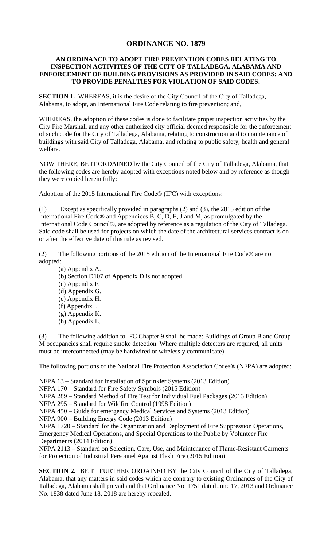## **ORDINANCE NO. 1879**

## **AN ORDINANCE TO ADOPT FIRE PREVENTION CODES RELATING TO INSPECTION ACTIVITIES OF THE CITY OF TALLADEGA, ALABAMA AND ENFORCEMENT OF BUILDING PROVISIONS AS PROVIDED IN SAID CODES; AND TO PROVIDE PENALTIES FOR VIOLATION OF SAID CODES:**

**SECTION 1.** WHEREAS, it is the desire of the City Council of the City of Talladega, Alabama, to adopt, an International Fire Code relating to fire prevention; and,

WHEREAS, the adoption of these codes is done to facilitate proper inspection activities by the City Fire Marshall and any other authorized city official deemed responsible for the enforcement of such code for the City of Talladega, Alabama, relating to construction and to maintenance of buildings with said City of Talladega, Alabama, and relating to public safety, health and general welfare.

NOW THERE, BE IT ORDAINED by the City Council of the City of Talladega, Alabama, that the following codes are hereby adopted with exceptions noted below and by reference as though they were copied herein fully:

Adoption of the 2015 International Fire Code® (IFC) with exceptions:

(1) Except as specifically provided in paragraphs (2) and (3), the 2015 edition of the International Fire Code® and Appendices B, C, D, E, J and M, as promulgated by the International Code Council®, are adopted by reference as a regulation of the City of Talladega. Said code shall be used for projects on which the date of the architectural services contract is on or after the effective date of this rule as revised.

(2) The following portions of the 2015 edition of the International Fire Code® are not adopted:

- (a) Appendix A.
- (b) Section D107 of Appendix D is not adopted.
- (c) Appendix F.
- (d) Appendix G.
- (e) Appendix H.
- (f) Appendix I.
- (g) Appendix K.
- (h) Appendix L.

(3) The following addition to IFC Chapter 9 shall be made: Buildings of Group B and Group M occupancies shall require smoke detection. Where multiple detectors are required, all units must be interconnected (may be hardwired or wirelessly communicate)

The following portions of the National Fire Protection Association Codes® (NFPA) are adopted:

NFPA 13 – Standard for Installation of Sprinkler Systems (2013 Edition)

NFPA 170 – Standard for Fire Safety Symbols (2015 Edition)

NFPA 289 – Standard Method of Fire Test for Individual Fuel Packages (2013 Edition)

NFPA 295 – Standard for Wildfire Control (1998 Edition)

NFPA 450 – Guide for emergency Medical Services and Systems (2013 Edition)

NFPA 900 – Building Energy Code (2013 Edition)

NFPA 1720 – Standard for the Organization and Deployment of Fire Suppression Operations, Emergency Medical Operations, and Special Operations to the Public by Volunteer Fire Departments (2014 Edition)

NFPA 2113 – Standard on Selection, Care, Use, and Maintenance of Flame-Resistant Garments for Protection of Industrial Personnel Against Flash Fire (2015 Edition)

**SECTION 2.** BE IT FURTHER ORDAINED BY the City Council of the City of Talladega, Alabama, that any matters in said codes which are contrary to existing Ordinances of the City of Talladega, Alabama shall prevail and that Ordinance No. 1751 dated June 17, 2013 and Ordinance No. 1838 dated June 18, 2018 are hereby repealed.